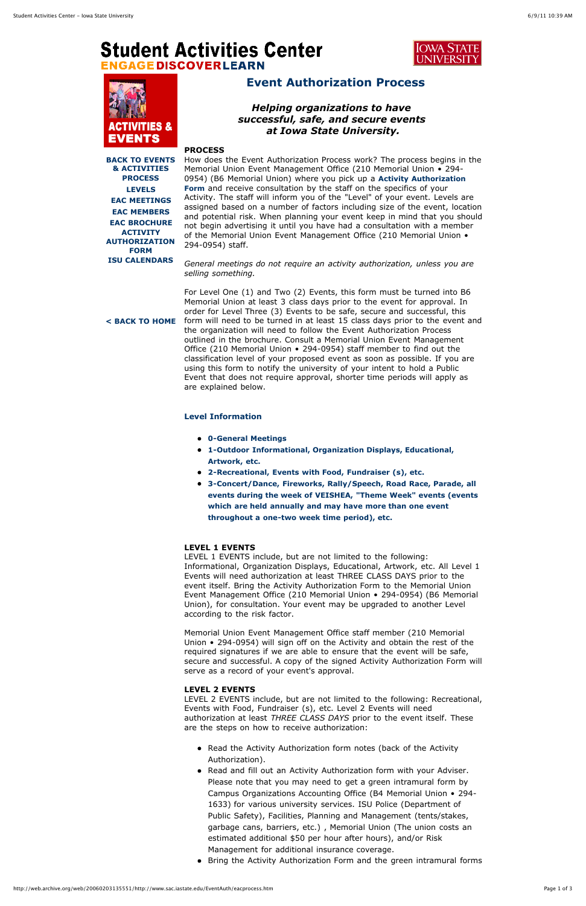# **Student Activities Center ENGAGE DISCOVERLEARN**





**[BACK TO EVENTS](http://web.archive.org/web/20060203135551/http://www.sac.iastate.edu/EventAuth/events.html) & ACTIVITIES [PROCESS](http://web.archive.org/web/20060203135551/http://www.sac.iastate.edu/EventAuth/eacprocess.htm#Process) [LEVELS](http://web.archive.org/web/20060203135551/http://www.sac.iastate.edu/EventAuth/eacprocess.htm#Level) [EAC MEETINGS](http://web.archive.org/web/20060203135551/http://www.sac.iastate.edu/EventAuth/eacprocess.htm#Meeting) [EAC MEMBERS](http://web.archive.org/web/20060203135551/http://www.sac.iastate.edu/EventAuth/eacprocess.htm#Members) [EAC BROCHURE](http://web.archive.org/web/20060203135551/http://www.sac.iastate.edu/EventAuth/eacbrochure.pdf) ACTIVITY [AUTHORIZATION](http://web.archive.org/web/20060203135551/http://www.sac.iastate.edu/Resources/Forms/actauth.doc) FORM [ISU CALENDARS](http://web.archive.org/web/20060203135551/http://www.sac.iastate.edu/calendars.htm)**

# **Event Authorization Process**

## *Helping organizations to have successful, safe, and secure events at Iowa State University.*

#### **PROCESS**

How does the Event Authorization Process work? The process begins in the Memorial Union Event Management Office (210 Memorial Union • 294- 0954) (B6 Memorial Union) where you pick up a **Activity Authorization Form** [and receive consultation by the staff on the specifics of your](http://web.archive.org/web/20060203135551/http://www.sac.iastate.edu/Resources/Forms/actauth.doc) Activity. The staff will inform you of the "Level" of your event. Levels are assigned based on a number of factors including size of the event, location and potential risk. When planning your event keep in mind that you should not begin advertising it until you have had a consultation with a member of the Memorial Union Event Management Office (210 Memorial Union • 294-0954) staff.

[< BACK TO HOME](http://web.archive.org/web/20060203135551/http://www.sac.iastate.edu/) form will need to be turned in at least 15 class days prior to the event and For Level One (1) and Two (2) Events, this form must be turned into B6 Memorial Union at least 3 class days prior to the event for approval. In order for Level Three (3) Events to be safe, secure and successful, this the organization will need to follow the Event Authorization Process outlined in the brochure. Consult a Memorial Union Event Management Office (210 Memorial Union • 294-0954) staff member to find out the classification level of your proposed event as soon as possible. If you are using this form to notify the university of your intent to hold a Public Event that does not require approval, shorter time periods will apply as are explained below.

*General meetings do not require an activity authorization, unless you are selling something.*

#### **Level Information**

- **[0-General Meetings](http://web.archive.org/web/20060203135551/http://www.sac.iastate.edu/EventAuth/eacprocess.htm#General)**
- **[1-Outdoor Informational, Organization Displays, Educational,](http://web.archive.org/web/20060203135551/http://www.sac.iastate.edu/EventAuth/eacprocess.htm#1) Artwork, etc.**
- **[2-Recreational, Events with Food, Fundraiser \(s\), etc.](http://web.archive.org/web/20060203135551/http://www.sac.iastate.edu/EventAuth/eacprocess.htm#2)**
- **3-Concert/Dance, Fireworks, Rally/Speech, Road Race, Parade, all [events during the week of VEISHEA, "Theme Week" events \(events](http://web.archive.org/web/20060203135551/http://www.sac.iastate.edu/EventAuth/eacprocess.htm#3) which are held annually and may have more than one event throughout a one-two week time period), etc.**

#### **LEVEL 1 EVENTS**

LEVEL 1 EVENTS include, but are not limited to the following: Informational, Organization Displays, Educational, Artwork, etc. All Level 1 Events will need authorization at least THREE CLASS DAYS prior to the event itself. Bring the Activity Authorization Form to the Memorial Union Event Management Office (210 Memorial Union • 294-0954) (B6 Memorial Union), for consultation. Your event may be upgraded to another Level according to the risk factor.

Memorial Union Event Management Office staff member (210 Memorial Union • 294-0954) will sign off on the Activity and obtain the rest of the required signatures if we are able to ensure that the event will be safe, secure and successful. A copy of the signed Activity Authorization Form will

serve as a record of your event's approval.

#### **LEVEL 2 EVENTS**

LEVEL 2 EVENTS include, but are not limited to the following: Recreational, Events with Food, Fundraiser (s), etc. Level 2 Events will need authorization at least *THREE CLASS DAYS* prior to the event itself. These are the steps on how to receive authorization:

- Read the Activity Authorization form notes (back of the Activity Authorization).
- Read and fill out an Activity Authorization form with your Adviser. Please note that you may need to get a green intramural form by Campus Organizations Accounting Office (B4 Memorial Union • 294- 1633) for various university services. ISU Police (Department of Public Safety), Facilities, Planning and Management (tents/stakes, garbage cans, barriers, etc.) , Memorial Union (The union costs an estimated additional \$50 per hour after hours), and/or Risk Management for additional insurance coverage.
- Bring the Activity Authorization Form and the green intramural forms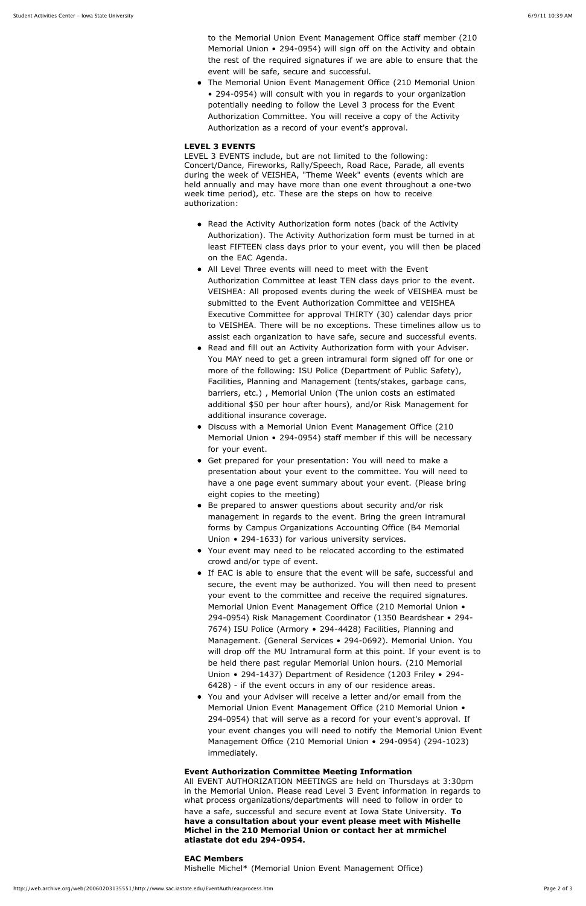to the Memorial Union Event Management Office staff member (210 Memorial Union • 294-0954) will sign off on the Activity and obtain the rest of the required signatures if we are able to ensure that the event will be safe, secure and successful.

The Memorial Union Event Management Office (210 Memorial Union • 294-0954) will consult with you in regards to your organization potentially needing to follow the Level 3 process for the Event Authorization Committee. You will receive a copy of the Activity Authorization as a record of your event's approval.

## **LEVEL 3 EVENTS**

LEVEL 3 EVENTS include, but are not limited to the following: Concert/Dance, Fireworks, Rally/Speech, Road Race, Parade, all events during the week of VEISHEA, "Theme Week" events (events which are held annually and may have more than one event throughout a one-two week time period), etc. These are the steps on how to receive authorization:

- Read the Activity Authorization form notes (back of the Activity Authorization). The Activity Authorization form must be turned in at least FIFTEEN class days prior to your event, you will then be placed on the EAC Agenda.
- All Level Three events will need to meet with the Event Authorization Committee at least TEN class days prior to the event. VEISHEA: All proposed events during the week of VEISHEA must be submitted to the Event Authorization Committee and VEISHEA Executive Committee for approval THIRTY (30) calendar days prior to VEISHEA. There will be no exceptions. These timelines allow us to assist each organization to have safe, secure and successful events.
- Read and fill out an Activity Authorization form with your Adviser. You MAY need to get a green intramural form signed off for one or more of the following: ISU Police (Department of Public Safety), Facilities, Planning and Management (tents/stakes, garbage cans, barriers, etc.) , Memorial Union (The union costs an estimated additional \$50 per hour after hours), and/or Risk Management for additional insurance coverage.
- Discuss with a Memorial Union Event Management Office (210 Memorial Union • 294-0954) staff member if this will be necessary for your event.
- Get prepared for your presentation: You will need to make a presentation about your event to the committee. You will need to have a one page event summary about your event. (Please bring eight copies to the meeting)
- Be prepared to answer questions about security and/or risk management in regards to the event. Bring the green intramural forms by Campus Organizations Accounting Office (B4 Memorial Union • 294-1633) for various university services.
- Your event may need to be relocated according to the estimated crowd and/or type of event.
- If EAC is able to ensure that the event will be safe, successful and secure, the event may be authorized. You will then need to present your event to the committee and receive the required signatures. Memorial Union Event Management Office (210 Memorial Union • 294-0954) Risk Management Coordinator (1350 Beardshear • 294- 7674) ISU Police (Armory • 294-4428) Facilities, Planning and Management. (General Services • 294-0692). Memorial Union. You will drop off the MU Intramural form at this point. If your event is to be held there past regular Memorial Union hours. (210 Memorial

Union • 294-1437) Department of Residence (1203 Friley • 294- 6428) - if the event occurs in any of our residence areas.

You and your Adviser will receive a letter and/or email from the Memorial Union Event Management Office (210 Memorial Union • 294-0954) that will serve as a record for your event's approval. If your event changes you will need to notify the Memorial Union Event Management Office (210 Memorial Union • 294-0954) (294-1023) immediately.

#### **Event Authorization Committee Meeting Information**

All EVENT AUTHORIZATION MEETINGS are held on Thursdays at 3:30pm in the Memorial Union. Please read Level 3 Event information in regards to what process organizations/departments will need to follow in order to have a safe, successful and secure event at Iowa State University. **To have a consultation about your event please meet with Mishelle Michel in the 210 Memorial Union or contact her at mrmichel atiastate dot edu 294-0954.**

## **EAC Members**

Mishelle Michel\* (Memorial Union Event Management Office)